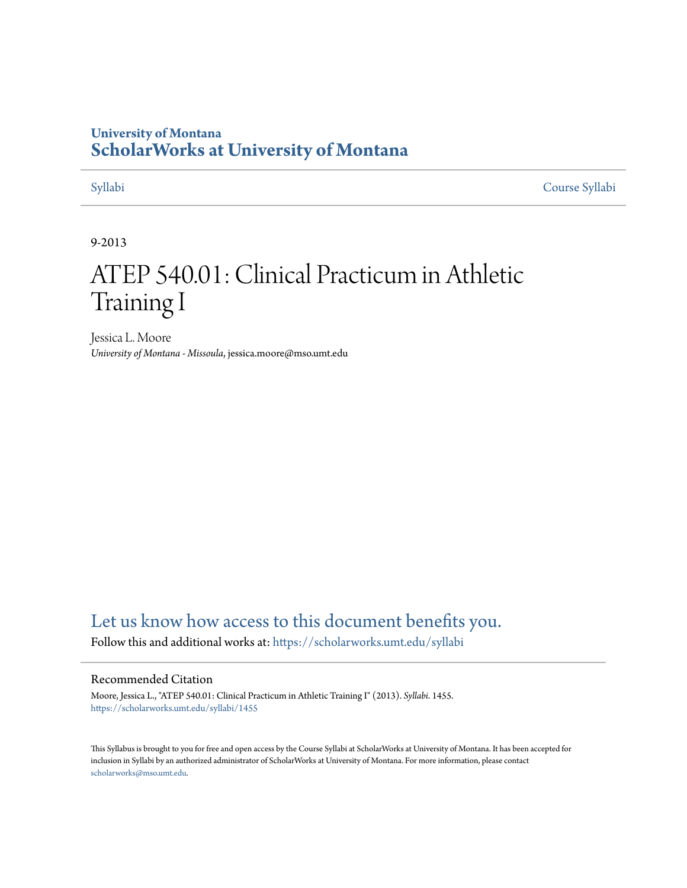# **University of Montana [ScholarWorks at University of Montana](https://scholarworks.umt.edu?utm_source=scholarworks.umt.edu%2Fsyllabi%2F1455&utm_medium=PDF&utm_campaign=PDFCoverPages)**

[Syllabi](https://scholarworks.umt.edu/syllabi?utm_source=scholarworks.umt.edu%2Fsyllabi%2F1455&utm_medium=PDF&utm_campaign=PDFCoverPages) [Course Syllabi](https://scholarworks.umt.edu/course_syllabi?utm_source=scholarworks.umt.edu%2Fsyllabi%2F1455&utm_medium=PDF&utm_campaign=PDFCoverPages)

#### 9-2013

# ATEP 540.01: Clinical Practicum in Athletic Training I

Jessica L. Moore *University of Montana - Missoula*, jessica.moore@mso.umt.edu

# [Let us know how access to this document benefits you.](https://goo.gl/forms/s2rGfXOLzz71qgsB2)

Follow this and additional works at: [https://scholarworks.umt.edu/syllabi](https://scholarworks.umt.edu/syllabi?utm_source=scholarworks.umt.edu%2Fsyllabi%2F1455&utm_medium=PDF&utm_campaign=PDFCoverPages)

#### Recommended Citation

Moore, Jessica L., "ATEP 540.01: Clinical Practicum in Athletic Training I" (2013). *Syllabi*. 1455. [https://scholarworks.umt.edu/syllabi/1455](https://scholarworks.umt.edu/syllabi/1455?utm_source=scholarworks.umt.edu%2Fsyllabi%2F1455&utm_medium=PDF&utm_campaign=PDFCoverPages)

This Syllabus is brought to you for free and open access by the Course Syllabi at ScholarWorks at University of Montana. It has been accepted for inclusion in Syllabi by an authorized administrator of ScholarWorks at University of Montana. For more information, please contact [scholarworks@mso.umt.edu](mailto:scholarworks@mso.umt.edu).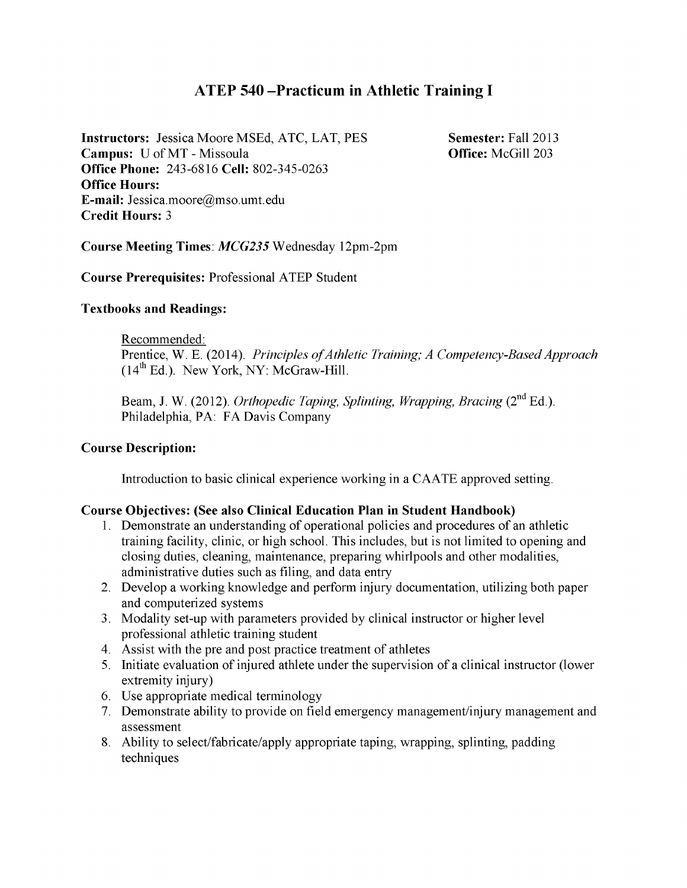## **ATEP 540 -Practicum in Athletic Training I**

**Instructors:** Jessica Moore MSEd, ATC, LAT, PES **Campus:** U of MT - Missoula **Office Phone:** 243-6816 **Cell:** 802-345-0263 **Office Hours: E-mail:** Jessica.moore@mso.umt.edu **Credit Hours:** 3

**Semester:** Fall 2013 **Office:** McGill 203

**Course Meeting Times:** *MCG235* Wednesday 12pm-2pm

**Course Prerequisites:** Professional ATEP Student

#### **Textbooks and Readings:**

Recommended:

Prentice, W. E. (2014). *Principles of Athletic Training; A Competency-Based Approach*  $(14<sup>th</sup> Ed.)$ . New York, NY: McGraw-Hill.

Beam, J. W. (2012). *Orthopedic Taping, Splinting, Wrapping, Bracing* (2<sup>nd</sup> Ed.). Philadelphia, PA: FA Davis Company

#### **Course Description:**

Introduction to basic clinical experience working in a CAATE approved setting.

#### **Course Objectives: (See also Clinical Education Plan in Student Handbook)**

- 1. Demonstrate an understanding of operational policies and procedures of an athletic training facility, clinic, or high school. This includes, but is not limited to opening and closing duties, cleaning, maintenance, preparing whirlpools and other modalities, administrative duties such as filing, and data entry
- 2. Develop a working knowledge and perform injury documentation, utilizing both paper and computerized systems
- 3. Modality set-up with parameters provided by clinical instructor or higher level professional athletic training student
- 4. Assist with the pre and post practice treatment of athletes
- 5. Initiate evaluation of injured athlete under the supervision of a clinical instructor (lower extremity injury)
- 6. Else appropriate medical terminology
- 7. Demonstrate ability to provide on field emergency management/injury management and assessment
- 8. Ability to select/fabricate/apply appropriate taping, wrapping, splinting, padding techniques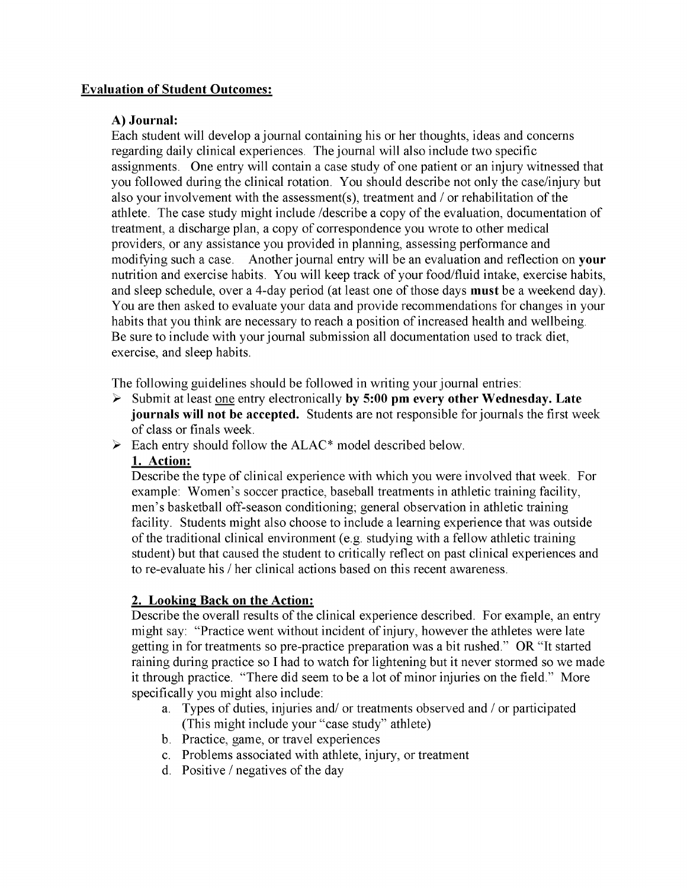#### **Evaluation of Student Outcomes:**

#### **A) Journal:**

Each student will develop a journal containing his or her thoughts, ideas and concerns regarding daily clinical experiences. The journal will also include two specific assignments. One entry will contain a case study of one patient or an injury witnessed that you followed during the clinical rotation. You should describe not only the case/injury but also your involvement with the assessment(s), treatment and / or rehabilitation of the athlete. The case study might include /describe a copy of the evaluation, documentation of treatment, a discharge plan, a copy of correspondence you wrote to other medical providers, or any assistance you provided in planning, assessing performance and modifying such a case. Another journal entry will be an evaluation and reflection on **your** nutrition and exercise habits. You will keep track of your food/fluid intake, exercise habits, and sleep schedule, over a 4-day period (at least one of those days **must** be a weekend day). You are then asked to evaluate your data and provide recommendations for changes in your habits that you think are necessary to reach a position of increased health and wellbeing. Be sure to include with your journal submission all documentation used to track diet, exercise, and sleep habits.

The following guidelines should be followed in writing your journal entries:

- > Submit at least one entry electronically **by 5:00 pm every other Wednesday. Late journals will not be accepted.** Students are not responsible for journals the first week of class or finals week.
- $\triangleright$  Each entry should follow the ALAC\* model described below.

#### **1. Action:**

Describe the type of clinical experience with which you were involved that week. For example: Women's soccer practice, baseball treatments in athletic training facility, men's basketball off-season conditioning; general observation in athletic training facility. Students might also choose to include a learning experience that was outside of the traditional clinical environment (e.g. studying with a fellow athletic training student) but that caused the student to critically reflect on past clinical experiences and to re-evaluate his / her clinical actions based on this recent awareness.

#### **2. Looking Back on the Action:**

Describe the overall results of the clinical experience described. For example, an entry might say: "Practice went without incident of injury, however the athletes were late getting in for treatments so pre-practice preparation was a bit rushed." OR "It started raining during practice so I had to watch for lightening but it never stormed so we made it through practice. "There did seem to be a lot of minor injuries on the field." More specifically you might also include:

- a. Types of duties, injuries and/ or treatments observed and / or participated (This might include your "case study" athlete)
- b. Practice, game, or travel experiences
- c. Problems associated with athlete, injury, or treatment
- d. Positive / negatives of the day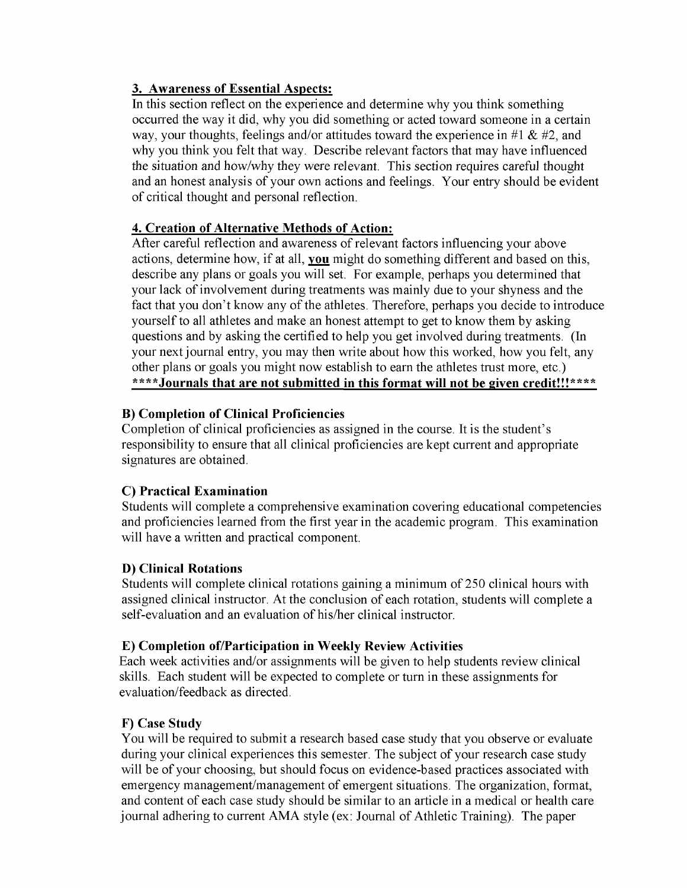#### **3. Awareness of Essential Aspects:**

In this section reflect on the experience and determine why you think something occurred the way it did, why you did something or acted toward someone in a certain way, your thoughts, feelings and/or attitudes toward the experience in  $#1 \& #2$ , and why you think you felt that way. Describe relevant factors that may have influenced the situation and how/why they were relevant. This section requires careful thought and an honest analysis of your own actions and feelings. Your entry should be evident of critical thought and personal reflection.

#### **4. Creation of Alternative Methods of Action:**

After careful reflection and awareness of relevant factors influencing your above actions, determine how, if at all, **you** might do something different and based on this, describe any plans or goals you will set. For example, perhaps you determined that your lack of involvement during treatments was mainly due to your shyness and the fact that you don't know any of the athletes. Therefore, perhaps you decide to introduce yourself to all athletes and make an honest attempt to get to know them by asking questions and by asking the certified to help you get involved during treatments. (In your next journal entry, you may then write about how this worked, how you felt, any other plans or goals you might now establish to earn the athletes trust more, etc.) **\*\*\*\*Journals that are not submitted in this format will not be given credit!!!\*\*\*\***

#### **B) Completion of Clinical Proficiencies**

Completion of clinical proficiencies as assigned in the course. It is the student's responsibility to ensure that all clinical proficiencies are kept current and appropriate signatures are obtained.

#### **C) Practical Examination**

Students will complete a comprehensive examination covering educational competencies and proficiencies learned from the first year in the academic program. This examination will have a written and practical component.

### **D) Clinical Rotations**

Students will complete clinical rotations gaining a minimum of 250 clinical hours with assigned clinical instructor. At the conclusion of each rotation, students will complete a self-evaluation and an evaluation of his/her clinical instructor.

#### **E) Completion of/Participation in Weekly Review Activities**

Each week activities and/or assignments will be given to help students review clinical skills. Each student will be expected to complete or turn in these assignments for evaluation/feedback as directed.

### **F) Case Study**

You will be required to submit a research based case study that you observe or evaluate during your clinical experiences this semester. The subject of your research case study will be of your choosing, but should focus on evidence-based practices associated with emergency management/management of emergent situations. The organization, format, and content of each case study should be similar to an article in a medical or health care journal adhering to current AMA style (ex: Journal of Athletic Training). The paper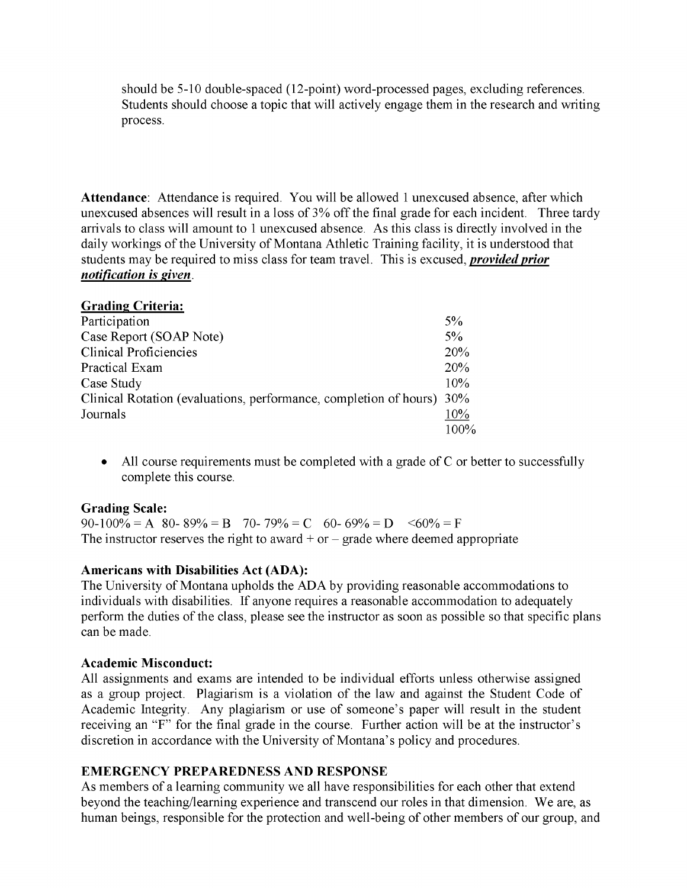should be 5-10 double-spaced (12-point) word-processed pages, excluding references. Students should choose a topic that will actively engage them in the research and writing process.

**Attendance:** Attendance is required. You will be allowed **1** unexcused absence, after which unexcused absences will result in a loss of 3% off the final grade for each incident. Three tardy arrivals to class will amount to 1 unexcused absence. As this class is directly involved in the daily workings of the University of Montana Athletic Training facility, it is understood that students may be required to miss class for team travel. This is excused, *provided prior notification is given.*

| <b>Grading Criteria:</b>                                          |         |
|-------------------------------------------------------------------|---------|
| Participation                                                     | $5\%$   |
| Case Report (SOAP Note)                                           | $5\%$   |
| <b>Clinical Proficiencies</b>                                     | 20%     |
| Practical Exam                                                    | 20%     |
| Case Study                                                        | 10%     |
| Clinical Rotation (evaluations, performance, completion of hours) | 30%     |
| Journals                                                          | 10%     |
|                                                                   | $100\%$ |

• All course requirements must be completed with a grade of C or better to successfully complete this course.

#### **Grading Scale:**

90-100% = A 80-89% = B 70-79% = C 60-69% = D  $\leq 60\% = F$ The instructor reserves the right to award  $+$  or  $-$  grade where deemed appropriate

#### **Americans with Disabilities Act (ADA):**

The University of Montana upholds the ADA by providing reasonable accommodations to individuals with disabilities. If anyone requires a reasonable accommodation to adequately perform the duties of the class, please see the instructor as soon as possible so that specific plans can be made.

#### **Academic Misconduct:**

All assignments and exams are intended to be individual efforts unless otherwise assigned as a group project. Plagiarism is a violation of the law and against the Student Code of Academic Integrity. Any plagiarism or use of someone's paper will result in the student receiving an "F" for the final grade in the course. Further action will be at the instructor's discretion in accordance with the University of Montana's policy and procedures.

#### **EMERGENCY PREPAREDNESS AND RESPONSE**

As members of a learning community we all have responsibilities for each other that extend beyond the teaching/learning experience and transcend our roles in that dimension. We are, as human beings, responsible for the protection and well-being of other members of our group, and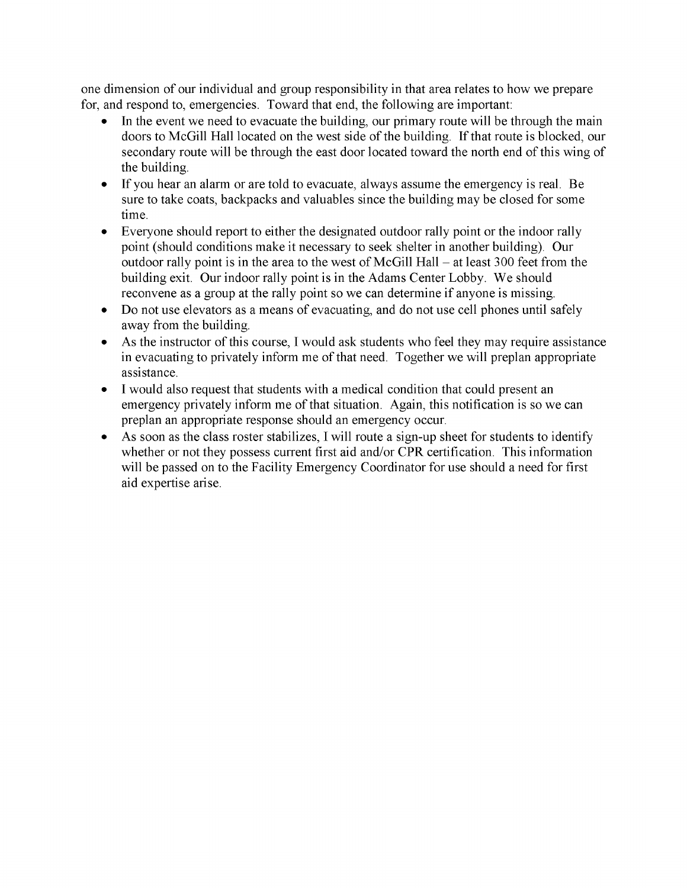one dimension of our individual and group responsibility in that area relates to how we prepare for, and respond to, emergencies. Toward that end, the following are important:

- In the event we need to evacuate the building, our primary route will be through the main doors to McGill Hall located on the west side of the building. If that route is blocked, our secondary route will be through the east door located toward the north end of this wing of the building.
- If you hear an alarm or are told to evacuate, always assume the emergency is real. Be sure to take coats, backpacks and valuables since the building may be closed for some time.
- Everyone should report to either the designated outdoor rally point or the indoor rally point (should conditions make it necessary to seek shelter in another building). Our outdoor rally point is in the area to the west of McGill Hall  $-$  at least 300 feet from the building exit. Our indoor rally point is in the Adams Center Lobby. We should reconvene as a group at the rally point so we can determine if anyone is missing.
- Do not use elevators as a means of evacuating, and do not use cell phones until safely away from the building.
- As the instructor of this course, I would ask students who feel they may require assistance in evacuating to privately inform me of that need. Together we will preplan appropriate assistance.
- I would also request that students with a medical condition that could present an emergency privately inform me of that situation. Again, this notification is so we can preplan an appropriate response should an emergency occur.
- As soon as the class roster stabilizes, I will route a sign-up sheet for students to identify whether or not they possess current first aid and/or CPR certification. This information will be passed on to the Facility Emergency Coordinator for use should a need for first aid expertise arise.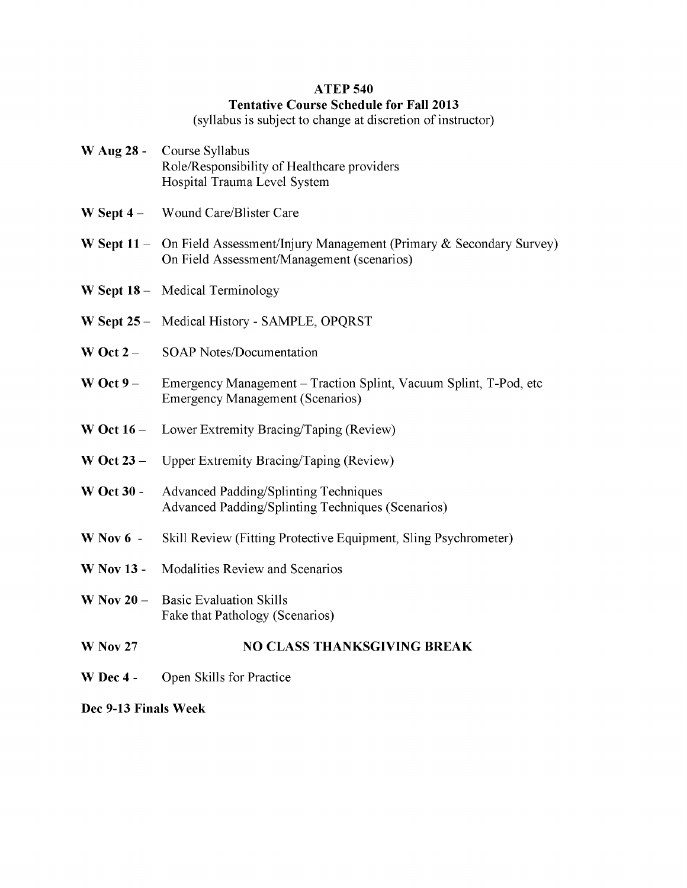#### **ATEP 540**

#### **Tentative Course Schedule for Fall 2013**

(syllabus is subject to change at discretion of instructor)

- **W Aug 28**  Course Syllabus Role/Responsibility of Healthcare providers Hospital Trauma Level System
- W Sept 4 Wound Care/Blister Care
- **W Sept 11** On Field Assessment/Injury Management (Primary & Secondary Survey) On Field Assessment/Management (scenarios)
- **W Sept 18**  Medical Terminology
- **W Sept 25**  Medical History SAMPLE, OPQRST
- **W Oct 2** SOAP Notes/Documentation
- **W Oct 9**  Emergency Management Traction Splint, Vacuum Splint, T-Pod, etc Emergency Management (Scenarios)
- W Oct 16 Lower Extremity Bracing/Taping (Review)
- **W Oct 23**  Upper Extremity Bracing/Taping (Review)
- **W Oct 30**  Advanced Padding/Splinting Techniques Advanced Padding/Splinting Techniques (Scenarios)
- **W Nov** 6 Skill Review (Fitting Protective Equipment, Sling Psychrometer)
- **W Nov 13**  Modalities Review and Scenarios
- **W Nov** 20 Basic Evaluation Skills Fake that Pathology (Scenarios)
- **W Nov 27 NO CLASS THANKSGIVING BREAK**
- **W Dec 4**  Open Skills for Practice

**Dec 9-13 Finals Week**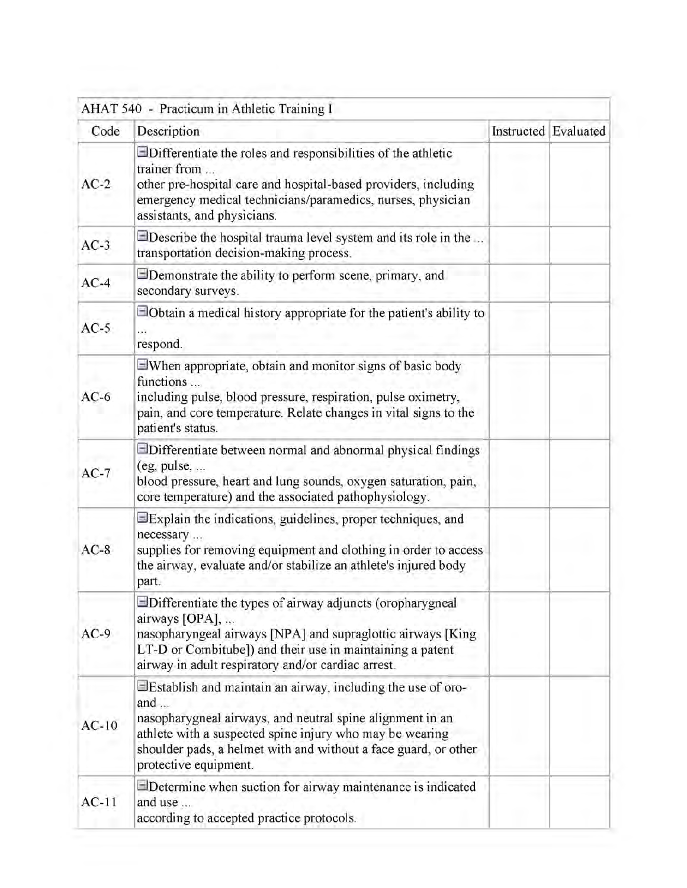| Code    | Description                                                                                                                                                                                                                                                                                        | Instructed Evaluated |  |
|---------|----------------------------------------------------------------------------------------------------------------------------------------------------------------------------------------------------------------------------------------------------------------------------------------------------|----------------------|--|
| $AC-2$  | $\Box$ Differentiate the roles and responsibilities of the athletic<br>trainer from<br>other pre-hospital care and hospital-based providers, including<br>emergency medical technicians/paramedics, nurses, physician<br>assistants, and physicians.                                               |                      |  |
| $AC-3$  | $\Box$ Describe the hospital trauma level system and its role in the<br>transportation decision-making process.                                                                                                                                                                                    |                      |  |
| $AC-4$  | $\Box$ Demonstrate the ability to perform scene, primary, and<br>secondary surveys.                                                                                                                                                                                                                |                      |  |
| $AC-5$  | $\Box$ Obtain a medical history appropriate for the patient's ability to<br>respond.                                                                                                                                                                                                               |                      |  |
| $AC-6$  | When appropriate, obtain and monitor signs of basic body<br>functions<br>including pulse, blood pressure, respiration, pulse oximetry,<br>pain, and core temperature. Relate changes in vital signs to the<br>patient's status.                                                                    |                      |  |
| $AC-7$  | Differentiate between normal and abnormal physical findings<br>$(eg, pulse, \ldots)$<br>blood pressure, heart and lung sounds, oxygen saturation, pain,<br>core temperature) and the associated pathophysiology.                                                                                   |                      |  |
| $AC-8$  | Explain the indications, guidelines, proper techniques, and<br>necessary<br>supplies for removing equipment and clothing in order to access<br>the airway, evaluate and/or stabilize an athlete's injured body<br>part.                                                                            |                      |  |
| $AC-9$  | Differentiate the types of airway adjuncts (oropharygneal<br>airways [OPA],<br>nasopharyngeal airways [NPA] and supraglottic airways [King<br>LT-D or Combitube]) and their use in maintaining a patent<br>airway in adult respiratory and/or cardiac arrest.                                      |                      |  |
| $AC-10$ | Elestablish and maintain an airway, including the use of oro-<br>and $\ldots$<br>nasopharygneal airways, and neutral spine alignment in an<br>athlete with a suspected spine injury who may be wearing<br>shoulder pads, a helmet with and without a face guard, or other<br>protective equipment. |                      |  |
| $AC-11$ | $\Box$ Determine when suction for airway maintenance is indicated<br>and use<br>according to accepted practice protocols.                                                                                                                                                                          |                      |  |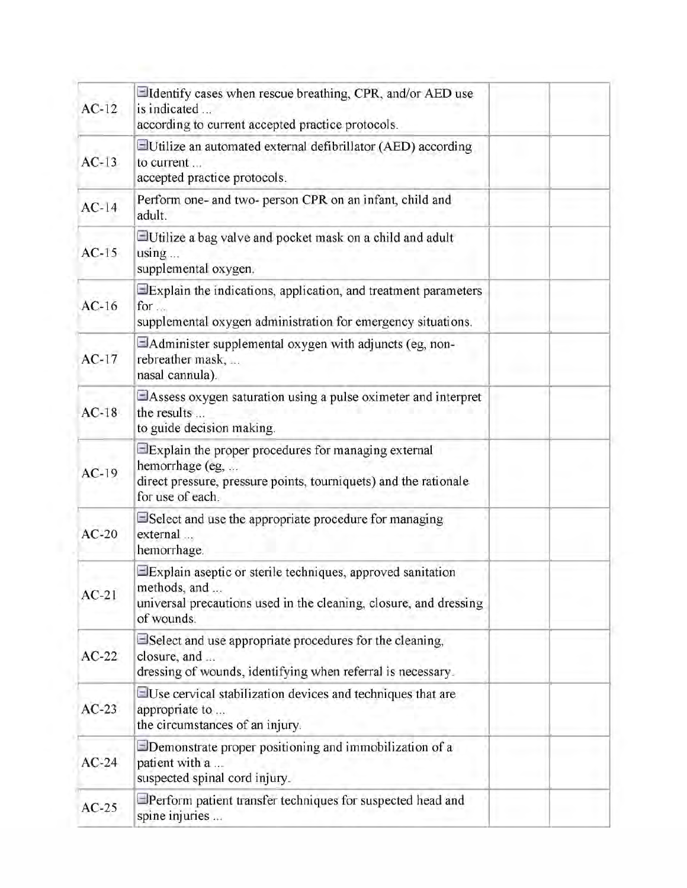| $AC-12$ | Eldentify cases when rescue breathing, CPR, and/or AED use<br>is indicated<br>according to current accepted practice protocols.                                          |  |
|---------|--------------------------------------------------------------------------------------------------------------------------------------------------------------------------|--|
| $AC-13$ | Utilize an automated external defibrillator (AED) according<br>to current<br>accepted practice protocols.                                                                |  |
| $AC-14$ | Perform one- and two- person CPR on an infant, child and<br>adult.                                                                                                       |  |
| $AC-15$ | Utilize a bag valve and pocket mask on a child and adult<br>using<br>supplemental oxygen.                                                                                |  |
| $AC-16$ | Explain the indications, application, and treatment parameters<br>for<br>supplemental oxygen administration for emergency situations.                                    |  |
| $AC-17$ | $\Box$ Administer supplemental oxygen with adjuncts (eg, non-<br>rebreather mask,<br>nasal cannula).                                                                     |  |
| $AC-18$ | EAssess oxygen saturation using a pulse oximeter and interpret<br>the results<br>to guide decision making.                                                               |  |
| $AC-19$ | $\exists$ Explain the proper procedures for managing external<br>hemorrhage (eg,<br>direct pressure, pressure points, tourniquets) and the rationale<br>for use of each. |  |
| $AC-20$ | $\Box$ Select and use the appropriate procedure for managing<br>external<br>hemorrhage.                                                                                  |  |
| $AC-21$ | $\exists$ Explain aseptic or sterile techniques, approved sanitation<br>methods, and<br>universal precautions used in the cleaning, closure, and dressing<br>of wounds.  |  |
| $AC-22$ | Select and use appropriate procedures for the cleaning,<br>closure, and<br>dressing of wounds, identifying when referral is necessary.                                   |  |
| $AC-23$ | $\exists$ Use cervical stabilization devices and techniques that are<br>appropriate to<br>the circumstances of an injury.                                                |  |
| $AC-24$ | $\Box$ Demonstrate proper positioning and immobilization of a<br>patient with a<br>suspected spinal cord injury.                                                         |  |
| $AC-25$ | $\Box$ Perform patient transfer techniques for suspected head and<br>spine injuries                                                                                      |  |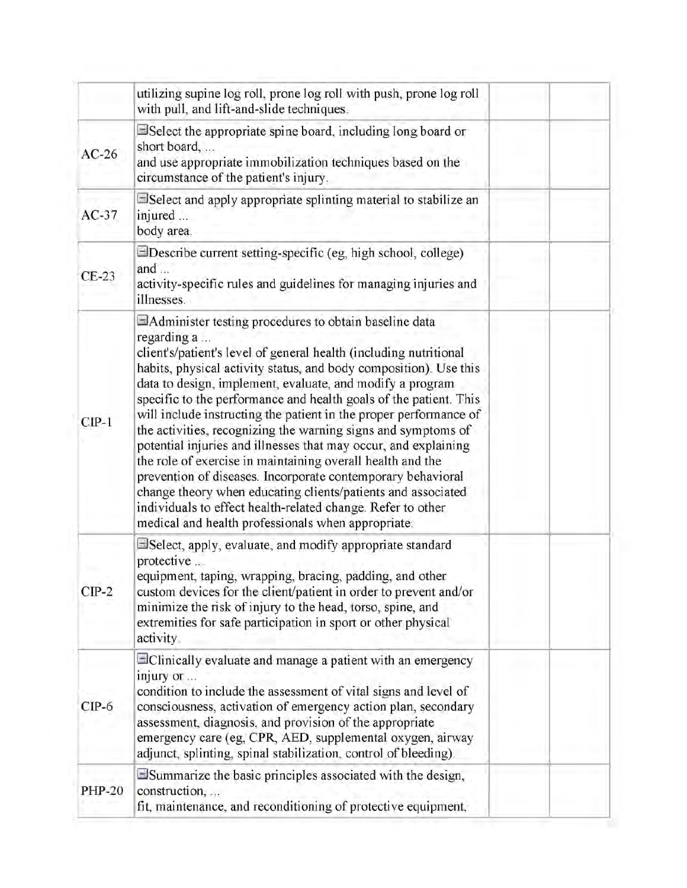|               | utilizing supine log roll, prone log roll with push, prone log roll<br>with pull, and lift-and-slide techniques.                                                                                                                                                                                                                                                                                                                                                                                                                                                                                                                                                                                                                                                                                                                                                                   |  |
|---------------|------------------------------------------------------------------------------------------------------------------------------------------------------------------------------------------------------------------------------------------------------------------------------------------------------------------------------------------------------------------------------------------------------------------------------------------------------------------------------------------------------------------------------------------------------------------------------------------------------------------------------------------------------------------------------------------------------------------------------------------------------------------------------------------------------------------------------------------------------------------------------------|--|
| $AC-26$       | Select the appropriate spine board, including long board or<br>short board,<br>and use appropriate immobilization techniques based on the<br>circumstance of the patient's injury.                                                                                                                                                                                                                                                                                                                                                                                                                                                                                                                                                                                                                                                                                                 |  |
| $AC-37$       | Select and apply appropriate splinting material to stabilize an<br>injured<br>body area.                                                                                                                                                                                                                                                                                                                                                                                                                                                                                                                                                                                                                                                                                                                                                                                           |  |
| $CE-23$       | Describe current setting-specific (eg, high school, college)<br>and $\ldots$<br>activity-specific rules and guidelines for managing injuries and<br>illnesses.                                                                                                                                                                                                                                                                                                                                                                                                                                                                                                                                                                                                                                                                                                                     |  |
| $CIP-1$       | $\Box$ Administer testing procedures to obtain baseline data<br>regarding a<br>client's/patient's level of general health (including nutritional<br>habits, physical activity status, and body composition). Use this<br>data to design, implement, evaluate, and modify a program<br>specific to the performance and health goals of the patient. This<br>will include instructing the patient in the proper performance of<br>the activities, recognizing the warning signs and symptoms of<br>potential injuries and illnesses that may occur, and explaining<br>the role of exercise in maintaining overall health and the<br>prevention of diseases. Incorporate contemporary behavioral<br>change theory when educating clients/patients and associated<br>individuals to effect health-related change. Refer to other<br>medical and health professionals when appropriate. |  |
| $CP-2$        | Select, apply, evaluate, and modify appropriate standard<br>protective<br>equipment, taping, wrapping, bracing, padding, and other<br>custom devices for the client/patient in order to prevent and/or<br>minimize the risk of injury to the head, torso, spine, and<br>extremities for safe participation in sport or other physical<br>activity.                                                                                                                                                                                                                                                                                                                                                                                                                                                                                                                                 |  |
| $CIP-6$       | $\Box$ Clinically evaluate and manage a patient with an emergency<br>injury or<br>condition to include the assessment of vital signs and level of<br>consciousness, activation of emergency action plan, secondary<br>assessment, diagnosis, and provision of the appropriate<br>emergency care (eg, CPR, AED, supplemental oxygen, airway<br>adjunct, splinting, spinal stabilization, control of bleeding).                                                                                                                                                                                                                                                                                                                                                                                                                                                                      |  |
| <b>PHP-20</b> | Summarize the basic principles associated with the design,<br>construction,<br>fit, maintenance, and reconditioning of protective equipment,                                                                                                                                                                                                                                                                                                                                                                                                                                                                                                                                                                                                                                                                                                                                       |  |

ĩ.